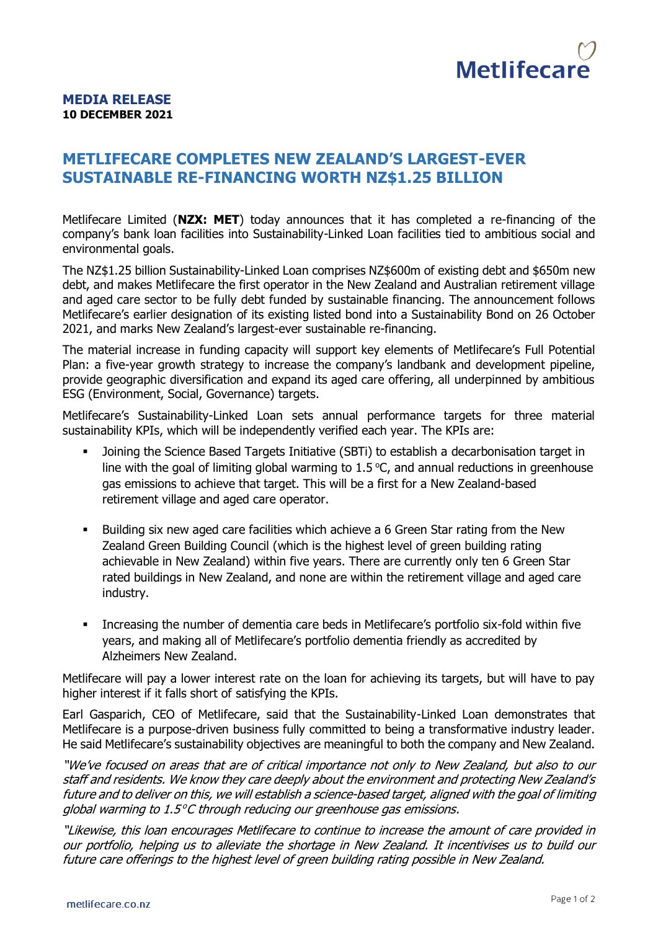

## **MEDIA RELEASE 10 DECEMBER 2021**

## **METLIFECARE COMPLETES NEW ZEALAND'S LARGEST-EVER SUSTAINABLE RE-FINANCING WORTH NZ\$1.25 BILLION**

Metlifecare Limited (**NZX: MET**) today announces that it has completed a re-financing of the company's bank loan facilities into Sustainability-Linked Loan facilities tied to ambitious social and environmental goals.

The NZ\$1.25 billion Sustainability-Linked Loan comprises NZ\$600m of existing debt and \$650m new debt, and makes Metlifecare the first operator in the New Zealand and Australian retirement village and aged care sector to be fully debt funded by sustainable financing. The announcement follows Metlifecare's earlier designation of its existing listed bond into a Sustainability Bond on 26 October 2021, and marks New Zealand's largest-ever sustainable re-financing.

The material increase in funding capacity will support key elements of Metlifecare's Full Potential Plan: a five-year growth strategy to increase the company's landbank and development pipeline, provide geographic diversification and expand its aged care offering, all underpinned by ambitious ESG (Environment, Social, Governance) targets.

Metlifecare's Sustainability-Linked Loan sets annual performance targets for three material sustainability KPIs, which will be independently verified each year. The KPIs are:

- **■** Joining the Science Based Targets Initiative (SBTi) to establish a decarbonisation target in line with the goal of limiting global warming to  $1.5$  °C, and annual reductions in greenhouse gas emissions to achieve that target. This will be a first for a New Zealand-based retirement village and aged care operator.
- Building six new aged care facilities which achieve a 6 Green Star rating from the New Zealand Green Building Council (which is the highest level of green building rating achievable in New Zealand) within five years. There are currently only ten 6 Green Star rated buildings in New Zealand, and none are within the retirement village and aged care industry.
- **•** Increasing the number of dementia care beds in Metlifecare's portfolio six-fold within five years, and making all of Metlifecare's portfolio dementia friendly as accredited by Alzheimers New Zealand.

Metlifecare will pay a lower interest rate on the loan for achieving its targets, but will have to pay higher interest if it falls short of satisfying the KPIs.

Earl Gasparich, CEO of Metlifecare, said that the Sustainability-Linked Loan demonstrates that Metlifecare is a purpose-driven business fully committed to being a transformative industry leader. He said Metlifecare's sustainability objectives are meaningful to both the company and New Zealand.

"We've focused on areas that are of critical importance not only to New Zealand, but also to our staff and residents. We know they care deeply about the environment and protecting New Zealand's future and to deliver on this, we will establish a science-based target, aligned with the goal of limiting global warming to 1.5°C through reducing our greenhouse gas emissions.

"Likewise, this loan encourages Metlifecare to continue to increase the amount of care provided in our portfolio, helping us to alleviate the shortage in New Zealand. It incentivises us to build our future care offerings to the highest level of green building rating possible in New Zealand.